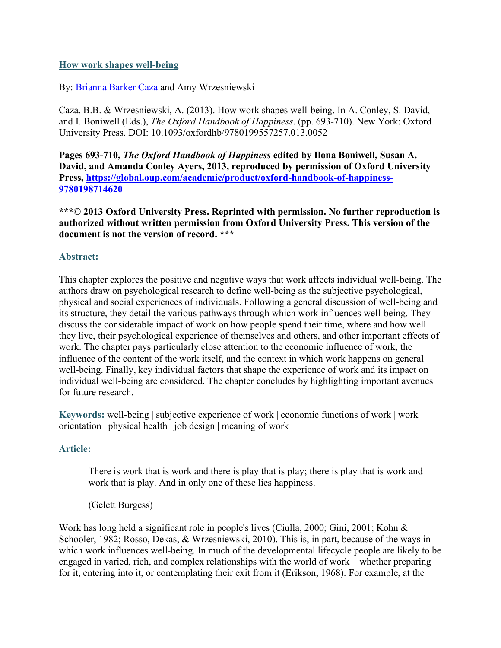## **How work shapes well-being**

By: [Brianna Barker Caza](https://libres.uncg.edu/ir/uncg/clist.aspx?id=25597) and Amy Wrzesniewski

Caza, B.B. & Wrzesniewski, A. (2013). How work shapes well-being. In A. Conley, S. David, and I. Boniwell (Eds.), *The Oxford Handbook of Happiness*. (pp. 693-710). New York: Oxford University Press. DOI: 10.1093/oxfordhb/9780199557257.013.0052

**Pages 693-710,** *The Oxford Handbook of Happiness* **edited by Ilona Boniwell, Susan A. David, and Amanda Conley Ayers, 2013, reproduced by permission of Oxford University Press, [https://global.oup.com/academic/product/oxford-handbook-of-happiness-](https://global.oup.com/academic/product/oxford-handbook-of-happiness-9780198714620)[9780198714620](https://global.oup.com/academic/product/oxford-handbook-of-happiness-9780198714620)**

**\*\*\*© 2013 Oxford University Press. Reprinted with permission. No further reproduction is authorized without written permission from Oxford University Press. This version of the document is not the version of record. \*\*\***

### **Abstract:**

This chapter explores the positive and negative ways that work affects individual well-being. The authors draw on psychological research to define well-being as the subjective psychological, physical and social experiences of individuals. Following a general discussion of well-being and its structure, they detail the various pathways through which work influences well-being. They discuss the considerable impact of work on how people spend their time, where and how well they live, their psychological experience of themselves and others, and other important effects of work. The chapter pays particularly close attention to the economic influence of work, the influence of the content of the work itself, and the context in which work happens on general well-being. Finally, key individual factors that shape the experience of work and its impact on individual well-being are considered. The chapter concludes by highlighting important avenues for future research.

**Keywords:** well-being | subjective experience of work | economic functions of work | work orientation | physical health | job design | meaning of work

# **Article:**

There is work that is work and there is play that is play; there is play that is work and work that is play. And in only one of these lies happiness.

(Gelett Burgess)

Work has long held a significant role in people's lives (Ciulla, 2000; Gini, 2001; Kohn & Schooler, 1982; Rosso, Dekas, & Wrzesniewski, 2010). This is, in part, because of the ways in which work influences well-being. In much of the developmental lifecycle people are likely to be engaged in varied, rich, and complex relationships with the world of work—whether preparing for it, entering into it, or contemplating their exit from it (Erikson, 1968). For example, at the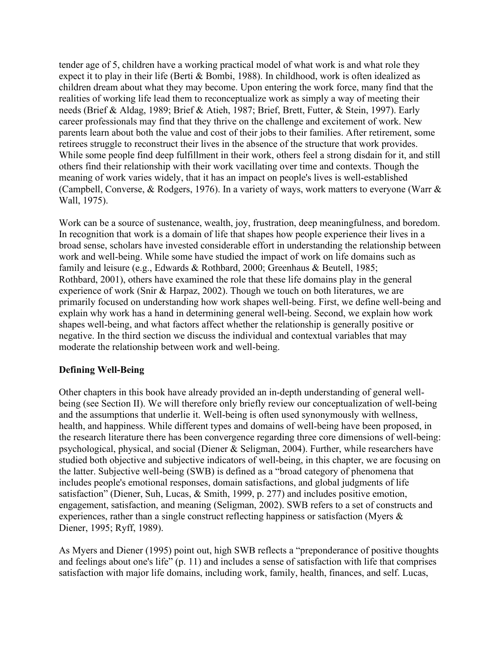tender age of 5, children have a working practical model of what work is and what role they expect it to play in their life (Berti & Bombi, 1988). In childhood, work is often idealized as children dream about what they may become. Upon entering the work force, many find that the realities of working life lead them to reconceptualize work as simply a way of meeting their needs (Brief & Aldag, 1989; Brief & Atieh, 1987; Brief, Brett, Futter, & Stein, 1997). Early career professionals may find that they thrive on the challenge and excitement of work. New parents learn about both the value and cost of their jobs to their families. After retirement, some retirees struggle to reconstruct their lives in the absence of the structure that work provides. While some people find deep fulfillment in their work, others feel a strong disdain for it, and still others find their relationship with their work vacillating over time and contexts. Though the meaning of work varies widely, that it has an impact on people's lives is well-established (Campbell, Converse, & Rodgers, 1976). In a variety of ways, work matters to everyone (Warr & Wall, 1975).

Work can be a source of sustenance, wealth, joy, frustration, deep meaningfulness, and boredom. In recognition that work is a domain of life that shapes how people experience their lives in a broad sense, scholars have invested considerable effort in understanding the relationship between work and well-being. While some have studied the impact of work on life domains such as family and leisure (e.g., Edwards & Rothbard, 2000; Greenhaus & Beutell, 1985; Rothbard, 2001), others have examined the role that these life domains play in the general experience of work (Snir & Harpaz, 2002). Though we touch on both literatures, we are primarily focused on understanding how work shapes well-being. First, we define well-being and explain why work has a hand in determining general well-being. Second, we explain how work shapes well-being, and what factors affect whether the relationship is generally positive or negative. In the third section we discuss the individual and contextual variables that may moderate the relationship between work and well-being.

# **Defining Well-Being**

Other chapters in this book have already provided an in-depth understanding of general wellbeing (see Section II). We will therefore only briefly review our conceptualization of well-being and the assumptions that underlie it. Well-being is often used synonymously with wellness, health, and happiness. While different types and domains of well-being have been proposed, in the research literature there has been convergence regarding three core dimensions of well-being: psychological, physical, and social (Diener & Seligman, 2004). Further, while researchers have studied both objective and subjective indicators of well-being, in this chapter, we are focusing on the latter. Subjective well-being (SWB) is defined as a "broad category of phenomena that includes people's emotional responses, domain satisfactions, and global judgments of life satisfaction" (Diener, Suh, Lucas, & Smith, 1999, p. 277) and includes positive emotion, engagement, satisfaction, and meaning (Seligman, 2002). SWB refers to a set of constructs and experiences, rather than a single construct reflecting happiness or satisfaction (Myers & Diener, 1995; Ryff, 1989).

As Myers and Diener (1995) point out, high SWB reflects a "preponderance of positive thoughts and feelings about one's life" (p. 11) and includes a sense of satisfaction with life that comprises satisfaction with major life domains, including work, family, health, finances, and self. Lucas,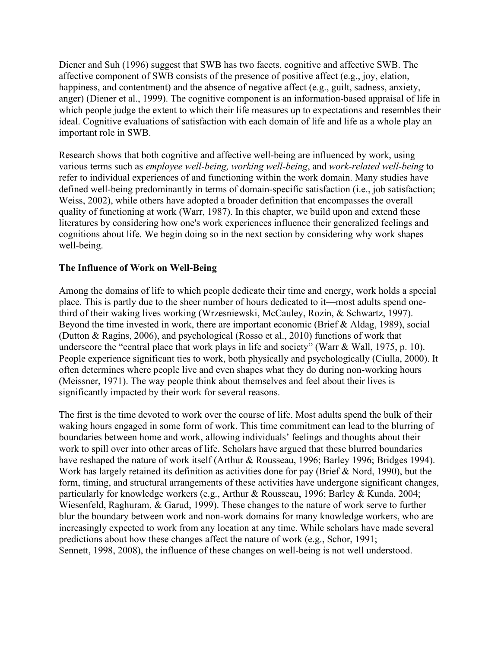Diener and Suh (1996) suggest that SWB has two facets, cognitive and affective SWB. The affective component of SWB consists of the presence of positive affect (e.g., joy, elation, happiness, and contentment) and the absence of negative affect (e.g., guilt, sadness, anxiety, anger) (Diener et al., 1999). The cognitive component is an information-based appraisal of life in which people judge the extent to which their life measures up to expectations and resembles their ideal. Cognitive evaluations of satisfaction with each domain of life and life as a whole play an important role in SWB.

Research shows that both cognitive and affective well-being are influenced by work, using various terms such as *employee well-being, working well-being*, and *work-related well-being* to refer to individual experiences of and functioning within the work domain. Many studies have defined well-being predominantly in terms of domain-specific satisfaction (i.e., job satisfaction; Weiss, 2002), while others have adopted a broader definition that encompasses the overall quality of functioning at work (Warr, 1987). In this chapter, we build upon and extend these literatures by considering how one's work experiences influence their generalized feelings and cognitions about life. We begin doing so in the next section by considering why work shapes well-being.

# **The Influence of Work on Well-Being**

Among the domains of life to which people dedicate their time and energy, work holds a special place. This is partly due to the sheer number of hours dedicated to it—most adults spend onethird of their waking lives working (Wrzesniewski, McCauley, Rozin, & Schwartz, 1997). Beyond the time invested in work, there are important economic (Brief & Aldag, 1989), social (Dutton & Ragins, 2006), and psychological (Rosso et al., 2010) functions of work that underscore the "central place that work plays in life and society" (Warr & Wall, 1975, p. 10). People experience significant ties to work, both physically and psychologically (Ciulla, 2000). It often determines where people live and even shapes what they do during non-working hours (Meissner, 1971). The way people think about themselves and feel about their lives is significantly impacted by their work for several reasons.

The first is the time devoted to work over the course of life. Most adults spend the bulk of their waking hours engaged in some form of work. This time commitment can lead to the blurring of boundaries between home and work, allowing individuals' feelings and thoughts about their work to spill over into other areas of life. Scholars have argued that these blurred boundaries have reshaped the nature of work itself (Arthur & Rousseau, 1996; Barley 1996; Bridges 1994). Work has largely retained its definition as activities done for pay (Brief & Nord, 1990), but the form, timing, and structural arrangements of these activities have undergone significant changes, particularly for knowledge workers (e.g., Arthur & Rousseau, 1996; Barley & Kunda, 2004; Wiesenfeld, Raghuram, & Garud, 1999). These changes to the nature of work serve to further blur the boundary between work and non-work domains for many knowledge workers, who are increasingly expected to work from any location at any time. While scholars have made several predictions about how these changes affect the nature of work (e.g., Schor, 1991; Sennett, 1998, 2008), the influence of these changes on well-being is not well understood.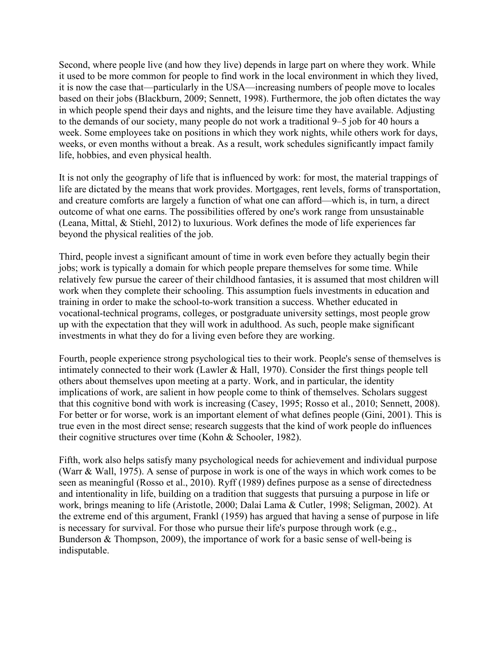Second, where people live (and how they live) depends in large part on where they work. While it used to be more common for people to find work in the local environment in which they lived, it is now the case that—particularly in the USA—increasing numbers of people move to locales based on their jobs (Blackburn, 2009; Sennett, 1998). Furthermore, the job often dictates the way in which people spend their days and nights, and the leisure time they have available. Adjusting to the demands of our society, many people do not work a traditional 9–5 job for 40 hours a week. Some employees take on positions in which they work nights, while others work for days, weeks, or even months without a break. As a result, work schedules significantly impact family life, hobbies, and even physical health.

It is not only the geography of life that is influenced by work: for most, the material trappings of life are dictated by the means that work provides. Mortgages, rent levels, forms of transportation, and creature comforts are largely a function of what one can afford—which is, in turn, a direct outcome of what one earns. The possibilities offered by one's work range from unsustainable (Leana, Mittal, & Stiehl, 2012) to luxurious. Work defines the mode of life experiences far beyond the physical realities of the job.

Third, people invest a significant amount of time in work even before they actually begin their jobs; work is typically a domain for which people prepare themselves for some time. While relatively few pursue the career of their childhood fantasies, it is assumed that most children will work when they complete their schooling. This assumption fuels investments in education and training in order to make the school-to-work transition a success. Whether educated in vocational-technical programs, colleges, or postgraduate university settings, most people grow up with the expectation that they will work in adulthood. As such, people make significant investments in what they do for a living even before they are working.

Fourth, people experience strong psychological ties to their work. People's sense of themselves is intimately connected to their work (Lawler & Hall, 1970). Consider the first things people tell others about themselves upon meeting at a party. Work, and in particular, the identity implications of work, are salient in how people come to think of themselves. Scholars suggest that this cognitive bond with work is increasing (Casey, 1995; Rosso et al., 2010; Sennett, 2008). For better or for worse, work is an important element of what defines people (Gini, 2001). This is true even in the most direct sense; research suggests that the kind of work people do influences their cognitive structures over time (Kohn & Schooler, 1982).

Fifth, work also helps satisfy many psychological needs for achievement and individual purpose (Warr & Wall, 1975). A sense of purpose in work is one of the ways in which work comes to be seen as meaningful (Rosso et al., 2010). Ryff (1989) defines purpose as a sense of directedness and intentionality in life, building on a tradition that suggests that pursuing a purpose in life or work, brings meaning to life (Aristotle, 2000; Dalai Lama & Cutler, 1998; Seligman, 2002). At the extreme end of this argument, Frankl (1959) has argued that having a sense of purpose in life is necessary for survival. For those who pursue their life's purpose through work (e.g., Bunderson & Thompson, 2009), the importance of work for a basic sense of well-being is indisputable.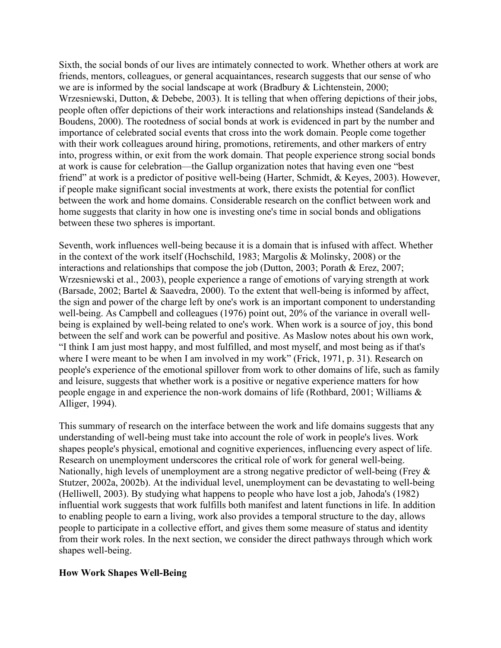Sixth, the social bonds of our lives are intimately connected to work. Whether others at work are friends, mentors, colleagues, or general acquaintances, research suggests that our sense of who we are is informed by the social landscape at work (Bradbury & Lichtenstein, 2000; Wrzesniewski, Dutton, & Debebe, 2003). It is telling that when offering depictions of their jobs, people often offer depictions of their work interactions and relationships instead (Sandelands & Boudens, 2000). The rootedness of social bonds at work is evidenced in part by the number and importance of celebrated social events that cross into the work domain. People come together with their work colleagues around hiring, promotions, retirements, and other markers of entry into, progress within, or exit from the work domain. That people experience strong social bonds at work is cause for celebration—the Gallup organization notes that having even one "best friend" at work is a predictor of positive well-being (Harter, Schmidt, & Keyes, 2003). However, if people make significant social investments at work, there exists the potential for conflict between the work and home domains. Considerable research on the conflict between work and home suggests that clarity in how one is investing one's time in social bonds and obligations between these two spheres is important.

Seventh, work influences well-being because it is a domain that is infused with affect. Whether in the context of the work itself (Hochschild, 1983; Margolis & Molinsky, 2008) or the interactions and relationships that compose the job (Dutton, 2003; Porath & Erez, 2007; Wrzesniewski et al., 2003), people experience a range of emotions of varying strength at work (Barsade, 2002; Bartel & Saavedra, 2000). To the extent that well-being is informed by affect, the sign and power of the charge left by one's work is an important component to understanding well-being. As Campbell and colleagues (1976) point out, 20% of the variance in overall wellbeing is explained by well-being related to one's work. When work is a source of joy, this bond between the self and work can be powerful and positive. As Maslow notes about his own work, "I think I am just most happy, and most fulfilled, and most myself, and most being as if that's where I were meant to be when I am involved in my work" (Frick, 1971, p. 31). Research on people's experience of the emotional spillover from work to other domains of life, such as family and leisure, suggests that whether work is a positive or negative experience matters for how people engage in and experience the non-work domains of life (Rothbard, 2001; Williams & Alliger, 1994).

This summary of research on the interface between the work and life domains suggests that any understanding of well-being must take into account the role of work in people's lives. Work shapes people's physical, emotional and cognitive experiences, influencing every aspect of life. Research on unemployment underscores the critical role of work for general well-being. Nationally, high levels of unemployment are a strong negative predictor of well-being (Frey & Stutzer, 2002a, 2002b). At the individual level, unemployment can be devastating to well-being (Helliwell, 2003). By studying what happens to people who have lost a job, Jahoda's (1982) influential work suggests that work fulfills both manifest and latent functions in life. In addition to enabling people to earn a living, work also provides a temporal structure to the day, allows people to participate in a collective effort, and gives them some measure of status and identity from their work roles. In the next section, we consider the direct pathways through which work shapes well-being.

### **How Work Shapes Well-Being**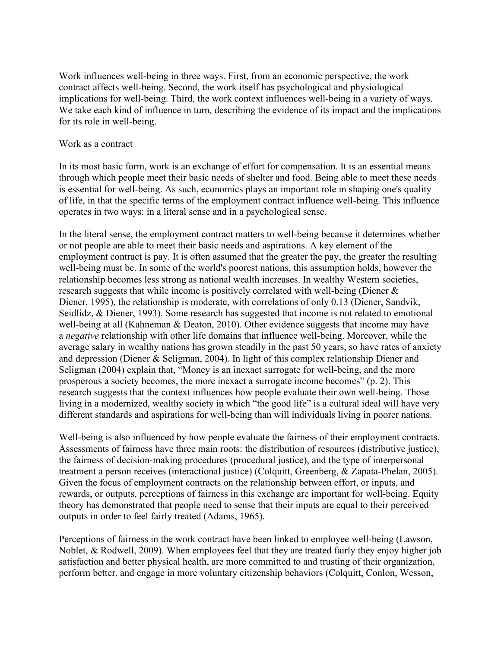Work influences well-being in three ways. First, from an economic perspective, the work contract affects well-being. Second, the work itself has psychological and physiological implications for well-being. Third, the work context influences well-being in a variety of ways. We take each kind of influence in turn, describing the evidence of its impact and the implications for its role in well-being.

#### Work as a contract

In its most basic form, work is an exchange of effort for compensation. It is an essential means through which people meet their basic needs of shelter and food. Being able to meet these needs is essential for well-being. As such, economics plays an important role in shaping one's quality of life, in that the specific terms of the employment contract influence well-being. This influence operates in two ways: in a literal sense and in a psychological sense.

In the literal sense, the employment contract matters to well-being because it determines whether or not people are able to meet their basic needs and aspirations. A key element of the employment contract is pay. It is often assumed that the greater the pay, the greater the resulting well-being must be. In some of the world's poorest nations, this assumption holds, however the relationship becomes less strong as national wealth increases. In wealthy Western societies, research suggests that while income is positively correlated with well-being (Diener & Diener, 1995), the relationship is moderate, with correlations of only 0.13 (Diener, Sandvik, Seidlidz, & Diener, 1993). Some research has suggested that income is not related to emotional well-being at all (Kahneman & Deaton, 2010). Other evidence suggests that income may have a *negative* relationship with other life domains that influence well-being. Moreover, while the average salary in wealthy nations has grown steadily in the past 50 years, so have rates of anxiety and depression (Diener & Seligman, 2004). In light of this complex relationship Diener and Seligman (2004) explain that, "Money is an inexact surrogate for well-being, and the more prosperous a society becomes, the more inexact a surrogate income becomes" (p. 2). This research suggests that the context influences how people evaluate their own well-being. Those living in a modernized, wealthy society in which "the good life" is a cultural ideal will have very different standards and aspirations for well-being than will individuals living in poorer nations.

Well-being is also influenced by how people evaluate the fairness of their employment contracts. Assessments of fairness have three main roots: the distribution of resources (distributive justice), the fairness of decision-making procedures (procedural justice), and the type of interpersonal treatment a person receives (interactional justice) (Colquitt, Greenberg, & Zapata-Phelan, 2005). Given the focus of employment contracts on the relationship between effort, or inputs, and rewards, or outputs, perceptions of fairness in this exchange are important for well-being. Equity theory has demonstrated that people need to sense that their inputs are equal to their perceived outputs in order to feel fairly treated (Adams, 1965).

Perceptions of fairness in the work contract have been linked to employee well-being (Lawson, Noblet, & Rodwell, 2009). When employees feel that they are treated fairly they enjoy higher job satisfaction and better physical health, are more committed to and trusting of their organization, perform better, and engage in more voluntary citizenship behaviors (Colquitt, Conlon, Wesson,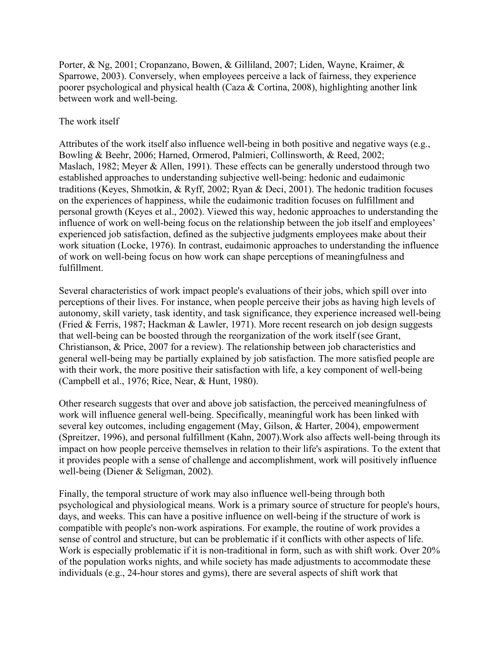Porter, & Ng, 2001; Cropanzano, Bowen, & Gilliland, 2007; Liden, Wayne, Kraimer, & Sparrowe, 2003). Conversely, when employees perceive a lack of fairness, they experience poorer psychological and physical health (Caza & Cortina, 2008), highlighting another link between work and well-being.

## The work itself

Attributes of the work itself also influence well-being in both positive and negative ways (e.g., Bowling & Beehr, 2006; Harned, Ormerod, Palmieri, Collinsworth, & Reed, 2002; Maslach, 1982; Meyer & Allen, 1991). These effects can be generally understood through two established approaches to understanding subjective well-being: hedonic and eudaimonic traditions (Keyes, Shmotkin, & Ryff, 2002; Ryan & Deci, 2001). The hedonic tradition focuses on the experiences of happiness, while the eudaimonic tradition focuses on fulfillment and personal growth (Keyes et al., 2002). Viewed this way, hedonic approaches to understanding the influence of work on well-being focus on the relationship between the job itself and employees' experienced job satisfaction, defined as the subjective judgments employees make about their work situation (Locke, 1976). In contrast, eudaimonic approaches to understanding the influence of work on well-being focus on how work can shape perceptions of meaningfulness and fulfillment.

Several characteristics of work impact people's evaluations of their jobs, which spill over into perceptions of their lives. For instance, when people perceive their jobs as having high levels of autonomy, skill variety, task identity, and task significance, they experience increased well-being (Fried & Ferris, 1987; Hackman & Lawler, 1971). More recent research on job design suggests that well-being can be boosted through the reorganization of the work itself (see Grant, Christianson, & Price, 2007 for a review). The relationship between job characteristics and general well-being may be partially explained by job satisfaction. The more satisfied people are with their work, the more positive their satisfaction with life, a key component of well-being (Campbell et al., 1976; Rice, Near, & Hunt, 1980).

Other research suggests that over and above job satisfaction, the perceived meaningfulness of work will influence general well-being. Specifically, meaningful work has been linked with several key outcomes, including engagement (May, Gilson, & Harter, 2004), empowerment (Spreitzer, 1996), and personal fulfillment (Kahn, 2007).Work also affects well-being through its impact on how people perceive themselves in relation to their life's aspirations. To the extent that it provides people with a sense of challenge and accomplishment, work will positively influence well-being (Diener & Seligman, 2002).

Finally, the temporal structure of work may also influence well-being through both psychological and physiological means. Work is a primary source of structure for people's hours, days, and weeks. This can have a positive influence on well-being if the structure of work is compatible with people's non-work aspirations. For example, the routine of work provides a sense of control and structure, but can be problematic if it conflicts with other aspects of life. Work is especially problematic if it is non-traditional in form, such as with shift work. Over 20% of the population works nights, and while society has made adjustments to accommodate these individuals (e.g., 24-hour stores and gyms), there are several aspects of shift work that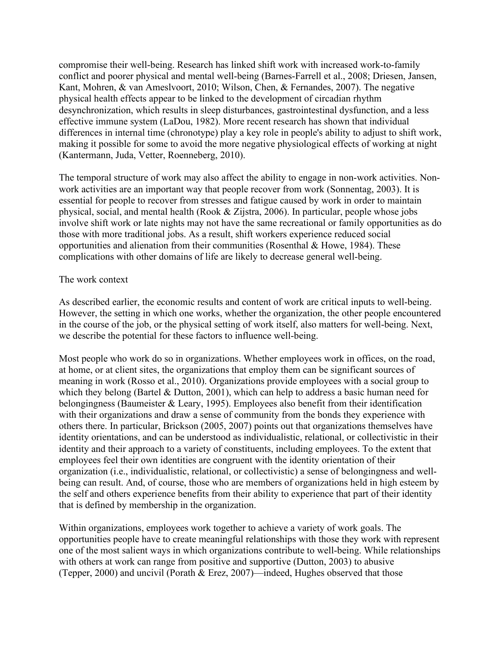compromise their well-being. Research has linked shift work with increased work-to-family conflict and poorer physical and mental well-being (Barnes-Farrell et al., 2008; Driesen, Jansen, Kant, Mohren, & van Ameslvoort, 2010; Wilson, Chen, & Fernandes, 2007). The negative physical health effects appear to be linked to the development of circadian rhythm desynchronization, which results in sleep disturbances, gastrointestinal dysfunction, and a less effective immune system (LaDou, 1982). More recent research has shown that individual differences in internal time (chronotype) play a key role in people's ability to adjust to shift work, making it possible for some to avoid the more negative physiological effects of working at night (Kantermann, Juda, Vetter, Roenneberg, 2010).

The temporal structure of work may also affect the ability to engage in non-work activities. Nonwork activities are an important way that people recover from work (Sonnentag, 2003). It is essential for people to recover from stresses and fatigue caused by work in order to maintain physical, social, and mental health (Rook & Zijstra, 2006). In particular, people whose jobs involve shift work or late nights may not have the same recreational or family opportunities as do those with more traditional jobs. As a result, shift workers experience reduced social opportunities and alienation from their communities (Rosenthal & Howe, 1984). These complications with other domains of life are likely to decrease general well-being.

### The work context

As described earlier, the economic results and content of work are critical inputs to well-being. However, the setting in which one works, whether the organization, the other people encountered in the course of the job, or the physical setting of work itself, also matters for well-being. Next, we describe the potential for these factors to influence well-being.

Most people who work do so in organizations. Whether employees work in offices, on the road, at home, or at client sites, the organizations that employ them can be significant sources of meaning in work (Rosso et al., 2010). Organizations provide employees with a social group to which they belong (Bartel & Dutton, 2001), which can help to address a basic human need for belongingness (Baumeister & Leary, 1995). Employees also benefit from their identification with their organizations and draw a sense of community from the bonds they experience with others there. In particular, Brickson (2005, 2007) points out that organizations themselves have identity orientations, and can be understood as individualistic, relational, or collectivistic in their identity and their approach to a variety of constituents, including employees. To the extent that employees feel their own identities are congruent with the identity orientation of their organization (i.e., individualistic, relational, or collectivistic) a sense of belongingness and wellbeing can result. And, of course, those who are members of organizations held in high esteem by the self and others experience benefits from their ability to experience that part of their identity that is defined by membership in the organization.

Within organizations, employees work together to achieve a variety of work goals. The opportunities people have to create meaningful relationships with those they work with represent one of the most salient ways in which organizations contribute to well-being. While relationships with others at work can range from positive and supportive (Dutton, 2003) to abusive (Tepper, 2000) and uncivil (Porath & Erez, 2007)—indeed, Hughes observed that those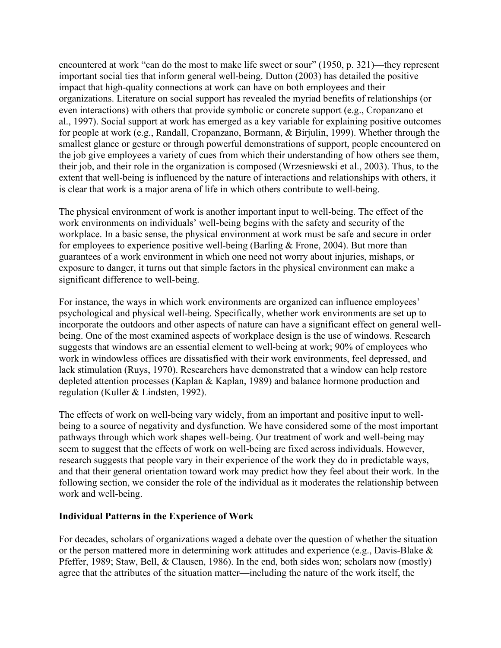encountered at work "can do the most to make life sweet or sour" (1950, p. 321)—they represent important social ties that inform general well-being. Dutton (2003) has detailed the positive impact that high-quality connections at work can have on both employees and their organizations. Literature on social support has revealed the myriad benefits of relationships (or even interactions) with others that provide symbolic or concrete support (e.g., Cropanzano et al., 1997). Social support at work has emerged as a key variable for explaining positive outcomes for people at work (e.g., Randall, Cropanzano, Bormann, & Birjulin, 1999). Whether through the smallest glance or gesture or through powerful demonstrations of support, people encountered on the job give employees a variety of cues from which their understanding of how others see them, their job, and their role in the organization is composed (Wrzesniewski et al., 2003). Thus, to the extent that well-being is influenced by the nature of interactions and relationships with others, it is clear that work is a major arena of life in which others contribute to well-being.

The physical environment of work is another important input to well-being. The effect of the work environments on individuals' well-being begins with the safety and security of the workplace. In a basic sense, the physical environment at work must be safe and secure in order for employees to experience positive well-being (Barling & Frone, 2004). But more than guarantees of a work environment in which one need not worry about injuries, mishaps, or exposure to danger, it turns out that simple factors in the physical environment can make a significant difference to well-being.

For instance, the ways in which work environments are organized can influence employees' psychological and physical well-being. Specifically, whether work environments are set up to incorporate the outdoors and other aspects of nature can have a significant effect on general wellbeing. One of the most examined aspects of workplace design is the use of windows. Research suggests that windows are an essential element to well-being at work; 90% of employees who work in windowless offices are dissatisfied with their work environments, feel depressed, and lack stimulation (Ruys, 1970). Researchers have demonstrated that a window can help restore depleted attention processes (Kaplan & Kaplan, 1989) and balance hormone production and regulation (Kuller & Lindsten, 1992).

The effects of work on well-being vary widely, from an important and positive input to wellbeing to a source of negativity and dysfunction. We have considered some of the most important pathways through which work shapes well-being. Our treatment of work and well-being may seem to suggest that the effects of work on well-being are fixed across individuals. However, research suggests that people vary in their experience of the work they do in predictable ways, and that their general orientation toward work may predict how they feel about their work. In the following section, we consider the role of the individual as it moderates the relationship between work and well-being.

### **Individual Patterns in the Experience of Work**

For decades, scholars of organizations waged a debate over the question of whether the situation or the person mattered more in determining work attitudes and experience (e.g., Davis-Blake & Pfeffer, 1989; Staw, Bell, & Clausen, 1986). In the end, both sides won; scholars now (mostly) agree that the attributes of the situation matter—including the nature of the work itself, the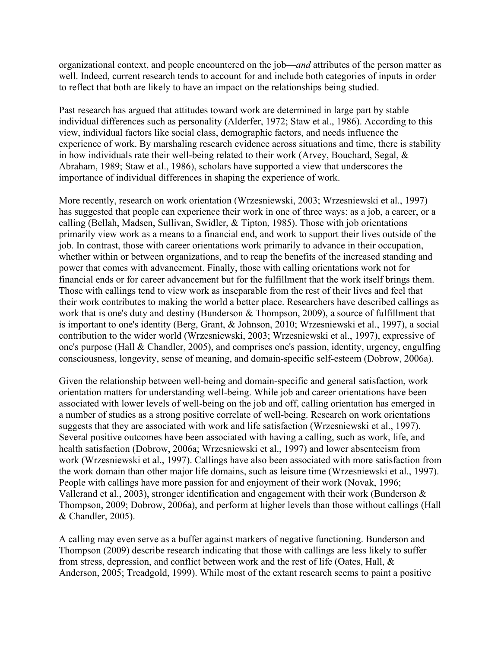organizational context, and people encountered on the job—*and* attributes of the person matter as well. Indeed, current research tends to account for and include both categories of inputs in order to reflect that both are likely to have an impact on the relationships being studied.

Past research has argued that attitudes toward work are determined in large part by stable individual differences such as personality (Alderfer, 1972; Staw et al., 1986). According to this view, individual factors like social class, demographic factors, and needs influence the experience of work. By marshaling research evidence across situations and time, there is stability in how individuals rate their well-being related to their work (Arvey, Bouchard, Segal, & Abraham, 1989; Staw et al., 1986), scholars have supported a view that underscores the importance of individual differences in shaping the experience of work.

More recently, research on work orientation (Wrzesniewski, 2003; Wrzesniewski et al., 1997) has suggested that people can experience their work in one of three ways: as a job, a career, or a calling (Bellah, Madsen, Sullivan, Swidler, & Tipton, 1985). Those with job orientations primarily view work as a means to a financial end, and work to support their lives outside of the job. In contrast, those with career orientations work primarily to advance in their occupation, whether within or between organizations, and to reap the benefits of the increased standing and power that comes with advancement. Finally, those with calling orientations work not for financial ends or for career advancement but for the fulfillment that the work itself brings them. Those with callings tend to view work as inseparable from the rest of their lives and feel that their work contributes to making the world a better place. Researchers have described callings as work that is one's duty and destiny (Bunderson & Thompson, 2009), a source of fulfillment that is important to one's identity (Berg, Grant, & Johnson, 2010; Wrzesniewski et al., 1997), a social contribution to the wider world (Wrzesniewski, 2003; Wrzesniewski et al., 1997), expressive of one's purpose (Hall & Chandler, 2005), and comprises one's passion, identity, urgency, engulfing consciousness, longevity, sense of meaning, and domain-specific self-esteem (Dobrow, 2006a).

Given the relationship between well-being and domain-specific and general satisfaction, work orientation matters for understanding well-being. While job and career orientations have been associated with lower levels of well-being on the job and off, calling orientation has emerged in a number of studies as a strong positive correlate of well-being. Research on work orientations suggests that they are associated with work and life satisfaction (Wrzesniewski et al., 1997). Several positive outcomes have been associated with having a calling, such as work, life, and health satisfaction (Dobrow, 2006a; Wrzesniewski et al., 1997) and lower absenteeism from work (Wrzesniewski et al., 1997). Callings have also been associated with more satisfaction from the work domain than other major life domains, such as leisure time (Wrzesniewski et al., 1997). People with callings have more passion for and enjoyment of their work (Novak, 1996; Vallerand et al., 2003), stronger identification and engagement with their work (Bunderson & Thompson, 2009; Dobrow, 2006a), and perform at higher levels than those without callings (Hall & Chandler, 2005).

A calling may even serve as a buffer against markers of negative functioning. Bunderson and Thompson (2009) describe research indicating that those with callings are less likely to suffer from stress, depression, and conflict between work and the rest of life (Oates, Hall, & Anderson, 2005; Treadgold, 1999). While most of the extant research seems to paint a positive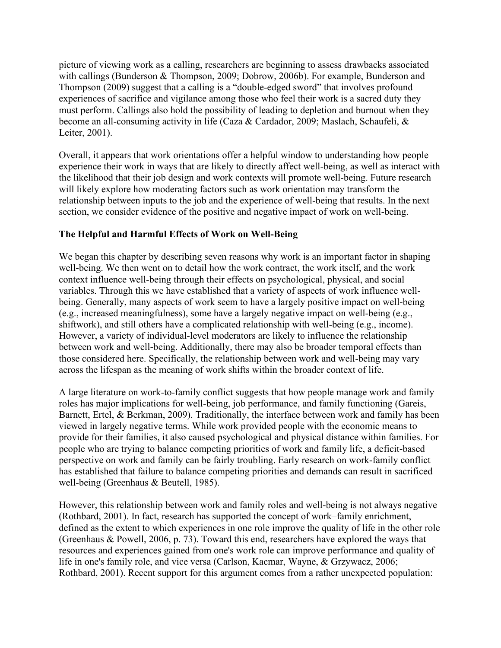picture of viewing work as a calling, researchers are beginning to assess drawbacks associated with callings (Bunderson & Thompson, 2009; Dobrow, 2006b). For example, Bunderson and Thompson (2009) suggest that a calling is a "double-edged sword" that involves profound experiences of sacrifice and vigilance among those who feel their work is a sacred duty they must perform. Callings also hold the possibility of leading to depletion and burnout when they become an all-consuming activity in life (Caza & Cardador, 2009; Maslach, Schaufeli, & Leiter, 2001).

Overall, it appears that work orientations offer a helpful window to understanding how people experience their work in ways that are likely to directly affect well-being, as well as interact with the likelihood that their job design and work contexts will promote well-being. Future research will likely explore how moderating factors such as work orientation may transform the relationship between inputs to the job and the experience of well-being that results. In the next section, we consider evidence of the positive and negative impact of work on well-being.

# **The Helpful and Harmful Effects of Work on Well-Being**

We began this chapter by describing seven reasons why work is an important factor in shaping well-being. We then went on to detail how the work contract, the work itself, and the work context influence well-being through their effects on psychological, physical, and social variables. Through this we have established that a variety of aspects of work influence wellbeing. Generally, many aspects of work seem to have a largely positive impact on well-being (e.g., increased meaningfulness), some have a largely negative impact on well-being (e.g., shiftwork), and still others have a complicated relationship with well-being (e.g., income). However, a variety of individual-level moderators are likely to influence the relationship between work and well-being. Additionally, there may also be broader temporal effects than those considered here. Specifically, the relationship between work and well-being may vary across the lifespan as the meaning of work shifts within the broader context of life.

A large literature on work-to-family conflict suggests that how people manage work and family roles has major implications for well-being, job performance, and family functioning (Gareis, Barnett, Ertel, & Berkman, 2009). Traditionally, the interface between work and family has been viewed in largely negative terms. While work provided people with the economic means to provide for their families, it also caused psychological and physical distance within families. For people who are trying to balance competing priorities of work and family life, a deficit-based perspective on work and family can be fairly troubling. Early research on work-family conflict has established that failure to balance competing priorities and demands can result in sacrificed well-being (Greenhaus & Beutell, 1985).

However, this relationship between work and family roles and well-being is not always negative (Rothbard, 2001). In fact, research has supported the concept of work–family enrichment, defined as the extent to which experiences in one role improve the quality of life in the other role (Greenhaus & Powell, 2006, p. 73). Toward this end, researchers have explored the ways that resources and experiences gained from one's work role can improve performance and quality of life in one's family role, and vice versa (Carlson, Kacmar, Wayne, & Grzywacz, 2006; Rothbard, 2001). Recent support for this argument comes from a rather unexpected population: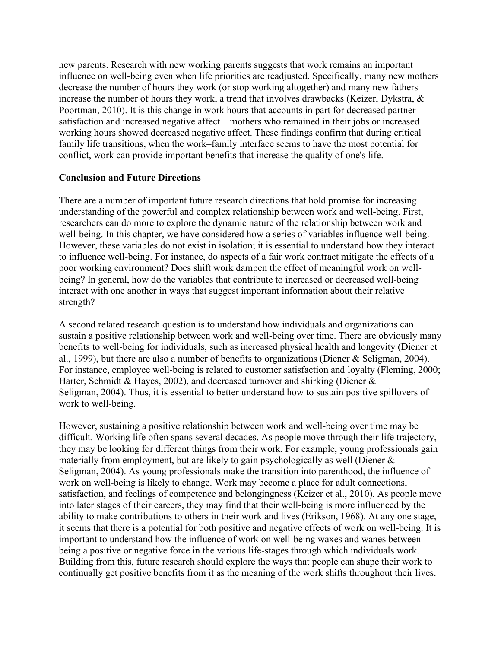new parents. Research with new working parents suggests that work remains an important influence on well-being even when life priorities are readjusted. Specifically, many new mothers decrease the number of hours they work (or stop working altogether) and many new fathers increase the number of hours they work, a trend that involves drawbacks (Keizer, Dykstra, & Poortman, 2010). It is this change in work hours that accounts in part for decreased partner satisfaction and increased negative affect—mothers who remained in their jobs or increased working hours showed decreased negative affect. These findings confirm that during critical family life transitions, when the work–family interface seems to have the most potential for conflict, work can provide important benefits that increase the quality of one's life.

### **Conclusion and Future Directions**

There are a number of important future research directions that hold promise for increasing understanding of the powerful and complex relationship between work and well-being. First, researchers can do more to explore the dynamic nature of the relationship between work and well-being. In this chapter, we have considered how a series of variables influence well-being. However, these variables do not exist in isolation; it is essential to understand how they interact to influence well-being. For instance, do aspects of a fair work contract mitigate the effects of a poor working environment? Does shift work dampen the effect of meaningful work on wellbeing? In general, how do the variables that contribute to increased or decreased well-being interact with one another in ways that suggest important information about their relative strength?

A second related research question is to understand how individuals and organizations can sustain a positive relationship between work and well-being over time. There are obviously many benefits to well-being for individuals, such as increased physical health and longevity (Diener et al., 1999), but there are also a number of benefits to organizations (Diener & Seligman, 2004). For instance, employee well-being is related to customer satisfaction and loyalty (Fleming, 2000; Harter, Schmidt & Hayes, 2002), and decreased turnover and shirking (Diener & Seligman, 2004). Thus, it is essential to better understand how to sustain positive spillovers of work to well-being.

However, sustaining a positive relationship between work and well-being over time may be difficult. Working life often spans several decades. As people move through their life trajectory, they may be looking for different things from their work. For example, young professionals gain materially from employment, but are likely to gain psychologically as well (Diener  $\&$ Seligman, 2004). As young professionals make the transition into parenthood, the influence of work on well-being is likely to change. Work may become a place for adult connections, satisfaction, and feelings of competence and belongingness (Keizer et al., 2010). As people move into later stages of their careers, they may find that their well-being is more influenced by the ability to make contributions to others in their work and lives (Erikson, 1968). At any one stage, it seems that there is a potential for both positive and negative effects of work on well-being. It is important to understand how the influence of work on well-being waxes and wanes between being a positive or negative force in the various life-stages through which individuals work. Building from this, future research should explore the ways that people can shape their work to continually get positive benefits from it as the meaning of the work shifts throughout their lives.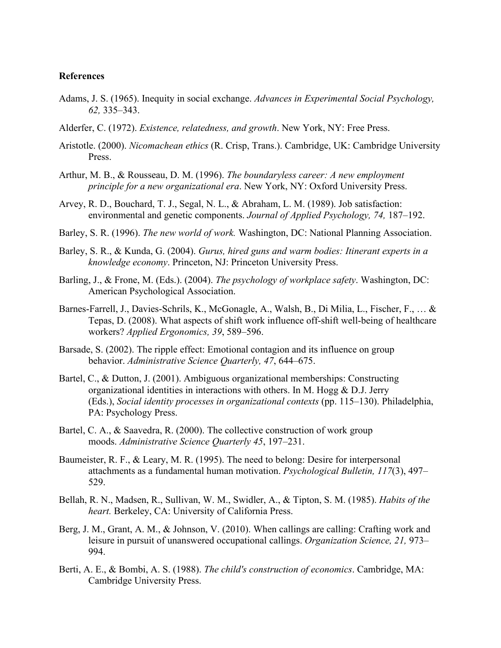#### **References**

- Adams, J. S. (1965). Inequity in social exchange. *Advances in Experimental Social Psychology, 62,* 335–343.
- Alderfer, C. (1972). *Existence, relatedness, and growth*. New York, NY: Free Press.
- Aristotle. (2000). *Nicomachean ethics* (R. Crisp, Trans.). Cambridge, UK: Cambridge University Press.
- Arthur, M. B., & Rousseau, D. M. (1996). *The boundaryless career: A new employment principle for a new organizational era*. New York, NY: Oxford University Press.
- Arvey, R. D., Bouchard, T. J., Segal, N. L., & Abraham, L. M. (1989). Job satisfaction: environmental and genetic components. *Journal of Applied Psychology, 74,* 187–192.
- Barley, S. R. (1996). *The new world of work.* Washington, DC: National Planning Association.
- Barley, S. R., & Kunda, G. (2004). *Gurus, hired guns and warm bodies: Itinerant experts in a knowledge economy*. Princeton, NJ: Princeton University Press.
- Barling, J., & Frone, M. (Eds.). (2004). *The psychology of workplace safety*. Washington, DC: American Psychological Association.
- Barnes-Farrell, J., Davies-Schrils, K., McGonagle, A., Walsh, B., Di Milia, L., Fischer, F., … & Tepas, D. (2008). What aspects of shift work influence off-shift well-being of healthcare workers? *Applied Ergonomics, 39*, 589–596.
- Barsade, S. (2002). The ripple effect: Emotional contagion and its influence on group behavior. *Administrative Science Quarterly, 47*, 644–675.
- Bartel, C., & Dutton, J. (2001). Ambiguous organizational memberships: Constructing organizational identities in interactions with others. In M. Hogg  $& D.J.$  Jerry (Eds.), *Social identity processes in organizational contexts* (pp. 115–130). Philadelphia, PA: Psychology Press.
- Bartel, C. A., & Saavedra, R. (2000). The collective construction of work group moods. *Administrative Science Quarterly 45*, 197–231.
- Baumeister, R. F., & Leary, M. R. (1995). The need to belong: Desire for interpersonal attachments as a fundamental human motivation. *Psychological Bulletin, 117*(3), 497– 529.
- Bellah, R. N., Madsen, R., Sullivan, W. M., Swidler, A., & Tipton, S. M. (1985). *Habits of the heart.* Berkeley, CA: University of California Press.
- Berg, J. M., Grant, A. M., & Johnson, V. (2010). When callings are calling: Crafting work and leisure in pursuit of unanswered occupational callings. *Organization Science, 21,* 973– 994.
- Berti, A. E., & Bombi, A. S. (1988). *The child's construction of economics*. Cambridge, MA: Cambridge University Press.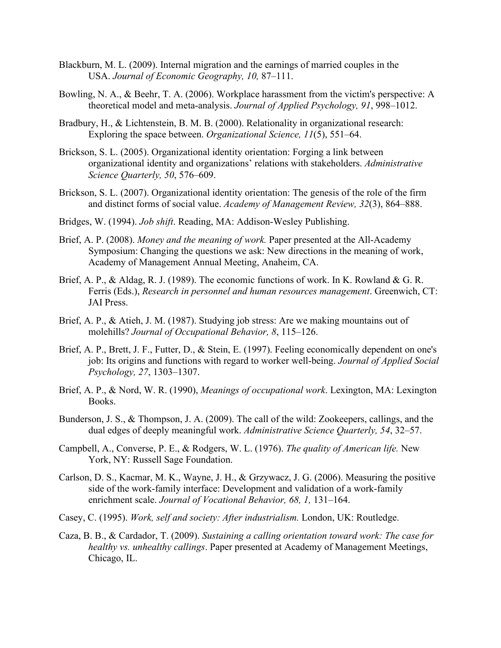- Blackburn, M. L. (2009). Internal migration and the earnings of married couples in the USA. *Journal of Economic Geography, 10,* 87–111.
- Bowling, N. A., & Beehr, T. A. (2006). Workplace harassment from the victim's perspective: A theoretical model and meta-analysis. *Journal of Applied Psychology, 91*, 998–1012.
- Bradbury, H., & Lichtenstein, B. M. B. (2000). Relationality in organizational research: Exploring the space between. *Organizational Science, 11*(5), 551–64.
- Brickson, S. L. (2005). Organizational identity orientation: Forging a link between organizational identity and organizations' relations with stakeholders. *Administrative Science Quarterly, 50*, 576–609.
- Brickson, S. L. (2007). Organizational identity orientation: The genesis of the role of the firm and distinct forms of social value. *Academy of Management Review, 32*(3), 864–888.
- Bridges, W. (1994). *Job shift*. Reading, MA: Addison-Wesley Publishing.
- Brief, A. P. (2008). *Money and the meaning of work.* Paper presented at the All-Academy Symposium: Changing the questions we ask: New directions in the meaning of work, Academy of Management Annual Meeting, Anaheim, CA.
- Brief, A. P., & Aldag, R. J. (1989). The economic functions of work. In K. Rowland & G. R. Ferris (Eds.), *Research in personnel and human resources management*. Greenwich, CT: JAI Press.
- Brief, A. P., & Atieh, J. M. (1987). Studying job stress: Are we making mountains out of molehills? *Journal of Occupational Behavior, 8*, 115–126.
- Brief, A. P., Brett, J. F., Futter, D., & Stein, E. (1997). Feeling economically dependent on one's job: Its origins and functions with regard to worker well-being. *Journal of Applied Social Psychology, 27*, 1303–1307.
- Brief, A. P., & Nord, W. R. (1990), *Meanings of occupational work*. Lexington, MA: Lexington Books.
- Bunderson, J. S., & Thompson, J. A. (2009). The call of the wild: Zookeepers, callings, and the dual edges of deeply meaningful work. *Administrative Science Quarterly, 54*, 32–57.
- Campbell, A., Converse, P. E., & Rodgers, W. L. (1976). *The quality of American life.* New York, NY: Russell Sage Foundation.
- Carlson, D. S., Kacmar, M. K., Wayne, J. H., & Grzywacz, J. G. (2006). Measuring the positive side of the work-family interface: Development and validation of a work-family enrichment scale. *Journal of Vocational Behavior, 68, 1,* 131–164.
- Casey, C. (1995). *Work, self and society: After industrialism.* London, UK: Routledge.
- Caza, B. B., & Cardador, T. (2009). *Sustaining a calling orientation toward work: The case for healthy vs. unhealthy callings*. Paper presented at Academy of Management Meetings, Chicago, IL.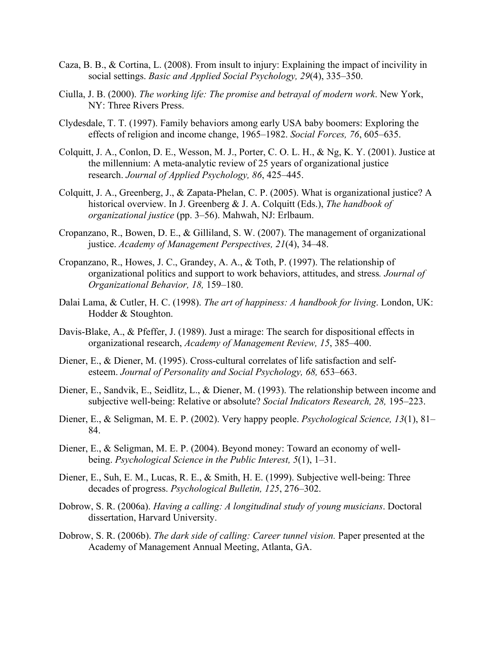- Caza, B. B., & Cortina, L. (2008). From insult to injury: Explaining the impact of incivility in social settings. *Basic and Applied Social Psychology, 29*(4), 335–350.
- Ciulla, J. B. (2000). *The working life: The promise and betrayal of modern work*. New York, NY: Three Rivers Press.
- Clydesdale, T. T. (1997). Family behaviors among early USA baby boomers: Exploring the effects of religion and income change, 1965–1982. *Social Forces, 76*, 605–635.
- Colquitt, J. A., Conlon, D. E., Wesson, M. J., Porter, C. O. L. H., & Ng, K. Y. (2001). Justice at the millennium: A meta-analytic review of 25 years of organizational justice research. *Journal of Applied Psychology, 86*, 425–445.
- Colquitt, J. A., Greenberg, J., & Zapata-Phelan, C. P. (2005). What is organizational justice? A historical overview. In J. Greenberg & J. A. Colquitt (Eds.), *The handbook of organizational justice* (pp. 3–56). Mahwah, NJ: Erlbaum.
- Cropanzano, R., Bowen, D. E., & Gilliland, S. W. (2007). The management of organizational justice. *Academy of Management Perspectives, 21*(4), 34–48.
- Cropanzano, R., Howes, J. C., Grandey, A. A., & Toth, P. (1997). The relationship of organizational politics and support to work behaviors, attitudes, and stress*. Journal of Organizational Behavior, 18,* 159–180.
- Dalai Lama, & Cutler, H. C. (1998). *The art of happiness: A handbook for living*. London, UK: Hodder & Stoughton.
- Davis-Blake, A., & Pfeffer, J. (1989). Just a mirage: The search for dispositional effects in organizational research, *Academy of Management Review, 15*, 385–400.
- Diener, E., & Diener, M. (1995). Cross-cultural correlates of life satisfaction and selfesteem. *Journal of Personality and Social Psychology, 68,* 653–663.
- Diener, E., Sandvik, E., Seidlitz, L., & Diener, M. (1993). The relationship between income and subjective well-being: Relative or absolute? *Social Indicators Research, 28,* 195–223.
- Diener, E., & Seligman, M. E. P. (2002). Very happy people. *Psychological Science, 13*(1), 81– 84.
- Diener, E., & Seligman, M. E. P. (2004). Beyond money: Toward an economy of wellbeing. *Psychological Science in the Public Interest, 5*(1), 1–31.
- Diener, E., Suh, E. M., Lucas, R. E., & Smith, H. E. (1999). Subjective well-being: Three decades of progress. *Psychological Bulletin, 125*, 276–302.
- Dobrow, S. R. (2006a). *Having a calling: A longitudinal study of young musicians*. Doctoral dissertation, Harvard University.
- Dobrow, S. R. (2006b). *The dark side of calling: Career tunnel vision.* Paper presented at the Academy of Management Annual Meeting, Atlanta, GA.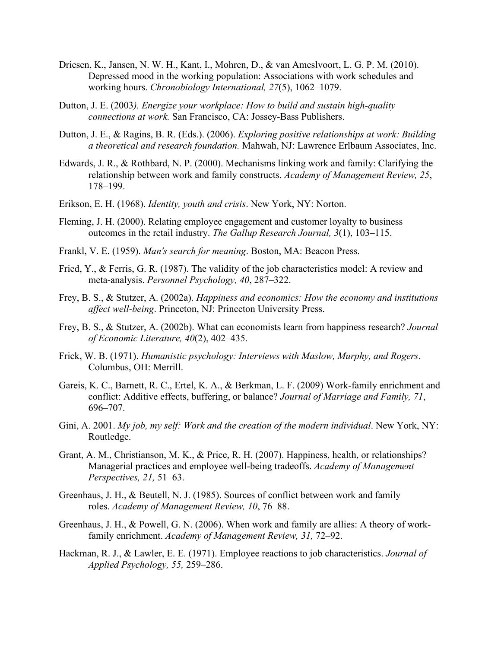- Driesen, K., Jansen, N. W. H., Kant, I., Mohren, D., & van Ameslvoort, L. G. P. M. (2010). Depressed mood in the working population: Associations with work schedules and working hours. *Chronobiology International, 27*(5), 1062–1079.
- Dutton, J. E. (2003*). Energize your workplace: How to build and sustain high-quality connections at work.* San Francisco, CA: Jossey-Bass Publishers.
- Dutton, J. E., & Ragins, B. R. (Eds.). (2006). *Exploring positive relationships at work: Building a theoretical and research foundation.* Mahwah, NJ: Lawrence Erlbaum Associates, Inc.
- Edwards, J. R., & Rothbard, N. P. (2000). Mechanisms linking work and family: Clarifying the relationship between work and family constructs. *Academy of Management Review, 25*, 178–199.
- Erikson, E. H. (1968). *Identity, youth and crisis*. New York, NY: Norton.
- Fleming, J. H. (2000). Relating employee engagement and customer loyalty to business outcomes in the retail industry. *The Gallup Research Journal, 3*(1), 103–115.
- Frankl, V. E. (1959). *Man's search for meaning*. Boston, MA: Beacon Press.
- Fried, Y., & Ferris, G. R. (1987). The validity of the job characteristics model: A review and meta-analysis. *Personnel Psychology, 40*, 287–322.
- Frey, B. S., & Stutzer, A. (2002a). *Happiness and economics: How the economy and institutions affect well-being*. Princeton, NJ: Princeton University Press.
- Frey, B. S., & Stutzer, A. (2002b). What can economists learn from happiness research? *Journal of Economic Literature, 40*(2), 402–435.
- Frick, W. B. (1971). *Humanistic psychology: Interviews with Maslow, Murphy, and Rogers*. Columbus, OH: Merrill.
- Gareis, K. C., Barnett, R. C., Ertel, K. A., & Berkman, L. F. (2009) Work-family enrichment and conflict: Additive effects, buffering, or balance? *Journal of Marriage and Family, 71*, 696–707.
- Gini, A. 2001. *My job, my self: Work and the creation of the modern individual*. New York, NY: Routledge.
- Grant, A. M., Christianson, M. K., & Price, R. H. (2007). Happiness, health, or relationships? Managerial practices and employee well-being tradeoffs. *Academy of Management Perspectives, 21,* 51–63.
- Greenhaus, J. H., & Beutell, N. J. (1985). Sources of conflict between work and family roles. *Academy of Management Review, 10*, 76–88.
- Greenhaus, J. H., & Powell, G. N. (2006). When work and family are allies: A theory of workfamily enrichment. *Academy of Management Review, 31,* 72–92.
- Hackman, R. J., & Lawler, E. E. (1971). Employee reactions to job characteristics. *Journal of Applied Psychology, 55,* 259–286.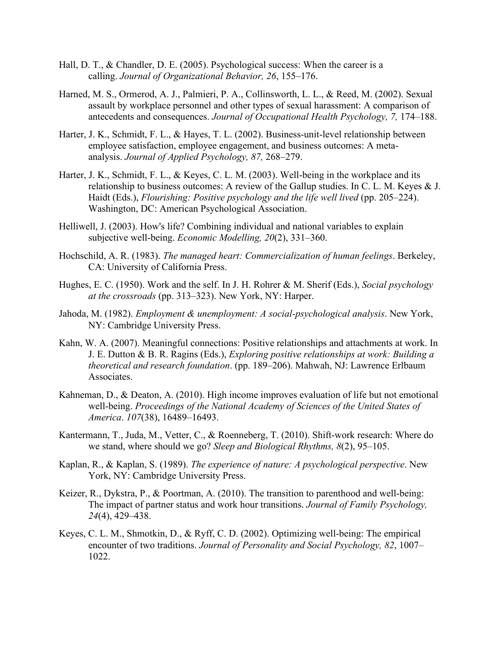- Hall, D. T., & Chandler, D. E. (2005). Psychological success: When the career is a calling. *Journal of Organizational Behavior, 26*, 155–176.
- Harned, M. S., Ormerod, A. J., Palmieri, P. A., Collinsworth, L. L., & Reed, M. (2002). Sexual assault by workplace personnel and other types of sexual harassment: A comparison of antecedents and consequences. *Journal of Occupational Health Psychology, 7,* 174–188.
- Harter, J. K., Schmidt, F. L., & Hayes, T. L. (2002). Business-unit-level relationship between employee satisfaction, employee engagement, and business outcomes: A metaanalysis. *Journal of Applied Psychology, 87,* 268–279.
- Harter, J. K., Schmidt, F. L., & Keyes, C. L. M. (2003). Well-being in the workplace and its relationship to business outcomes: A review of the Gallup studies. In C. L. M. Keyes & J. Haidt (Eds.), *Flourishing: Positive psychology and the life well lived* (pp. 205–224). Washington, DC: American Psychological Association.
- Helliwell, J. (2003). How's life? Combining individual and national variables to explain subjective well-being. *Economic Modelling, 20*(2), 331–360.
- Hochschild, A. R. (1983). *The managed heart: Commercialization of human feelings*. Berkeley, CA: University of California Press.
- Hughes, E. C. (1950). Work and the self. In J. H. Rohrer & M. Sherif (Eds.), *Social psychology at the crossroads* (pp. 313–323). New York, NY: Harper.
- Jahoda, M. (1982). *Employment & unemployment: A social-psychological analysis*. New York, NY: Cambridge University Press.
- Kahn, W. A. (2007). Meaningful connections: Positive relationships and attachments at work. In J. E. Dutton & B. R. Ragins (Eds.), *Exploring positive relationships at work: Building a theoretical and research foundation*. (pp. 189–206). Mahwah, NJ: Lawrence Erlbaum Associates.
- Kahneman, D., & Deaton, A. (2010). High income improves evaluation of life but not emotional well-being. *Proceedings of the National Academy of Sciences of the United States of America*. *107*(38), 16489–16493.
- Kantermann, T., Juda, M., Vetter, C., & Roenneberg, T. (2010). Shift-work research: Where do we stand, where should we go? *Sleep and Biological Rhythms, 8*(2), 95–105.
- Kaplan, R., & Kaplan, S. (1989). *The experience of nature: A psychological perspective*. New York, NY: Cambridge University Press.
- Keizer, R., Dykstra, P., & Poortman, A. (2010). The transition to parenthood and well-being: The impact of partner status and work hour transitions. *Journal of Family Psychology, 24*(4), 429–438.
- Keyes, C. L. M., Shmotkin, D., & Ryff, C. D. (2002). Optimizing well-being: The empirical encounter of two traditions. *Journal of Personality and Social Psychology, 82*, 1007– 1022.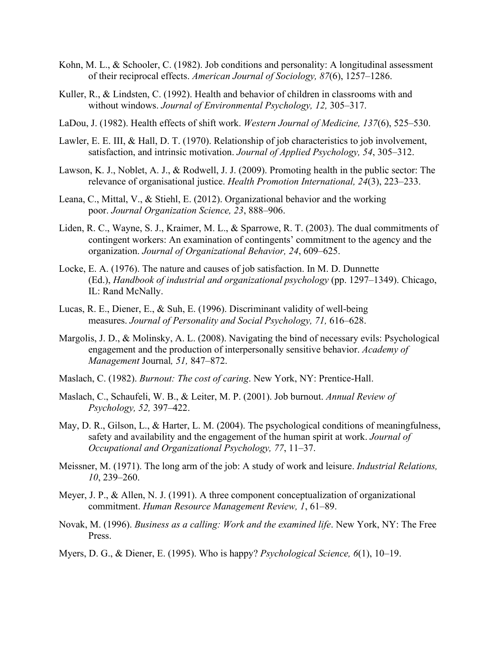- Kohn, M. L., & Schooler, C. (1982). Job conditions and personality: A longitudinal assessment of their reciprocal effects. *American Journal of Sociology, 87*(6), 1257–1286.
- Kuller, R., & Lindsten, C. (1992). Health and behavior of children in classrooms with and without windows. *Journal of Environmental Psychology, 12,* 305–317.
- LaDou, J. (1982). Health effects of shift work. *Western Journal of Medicine, 137*(6), 525–530.
- Lawler, E. E. III, & Hall, D. T. (1970). Relationship of job characteristics to job involvement, satisfaction, and intrinsic motivation. *Journal of Applied Psychology, 54*, 305–312.
- Lawson, K. J., Noblet, A. J., & Rodwell, J. J. (2009). Promoting health in the public sector: The relevance of organisational justice. *Health Promotion International, 24*(3), 223–233.
- Leana, C., Mittal, V., & Stiehl, E. (2012). Organizational behavior and the working poor. *Journal Organization Science, 23*, 888–906.
- Liden, R. C., Wayne, S. J., Kraimer, M. L., & Sparrowe, R. T. (2003). The dual commitments of contingent workers: An examination of contingents' commitment to the agency and the organization. *Journal of Organizational Behavior, 24*, 609–625.
- Locke, E. A. (1976). The nature and causes of job satisfaction. In M. D. Dunnette (Ed.), *Handbook of industrial and organizational psychology* (pp. 1297–1349). Chicago, IL: Rand McNally.
- Lucas, R. E., Diener, E., & Suh, E. (1996). Discriminant validity of well-being measures. *Journal of Personality and Social Psychology, 71,* 616–628.
- Margolis, J. D., & Molinsky, A. L. (2008). Navigating the bind of necessary evils: Psychological engagement and the production of interpersonally sensitive behavior. *Academy of Management* Journal*, 51,* 847–872.
- Maslach, C. (1982). *Burnout: The cost of caring*. New York, NY: Prentice-Hall.
- Maslach, C., Schaufeli, W. B., & Leiter, M. P. (2001). Job burnout. *Annual Review of Psychology, 52,* 397–422.
- May, D. R., Gilson, L., & Harter, L. M. (2004). The psychological conditions of meaningfulness, safety and availability and the engagement of the human spirit at work. *Journal of Occupational and Organizational Psychology, 77*, 11–37.
- Meissner, M. (1971). The long arm of the job: A study of work and leisure. *Industrial Relations, 10*, 239–260.
- Meyer, J. P., & Allen, N. J. (1991). A three component conceptualization of organizational commitment. *Human Resource Management Review, 1*, 61–89.
- Novak, M. (1996). *Business as a calling: Work and the examined life*. New York, NY: The Free Press.
- Myers, D. G., & Diener, E. (1995). Who is happy? *Psychological Science, 6*(1), 10–19.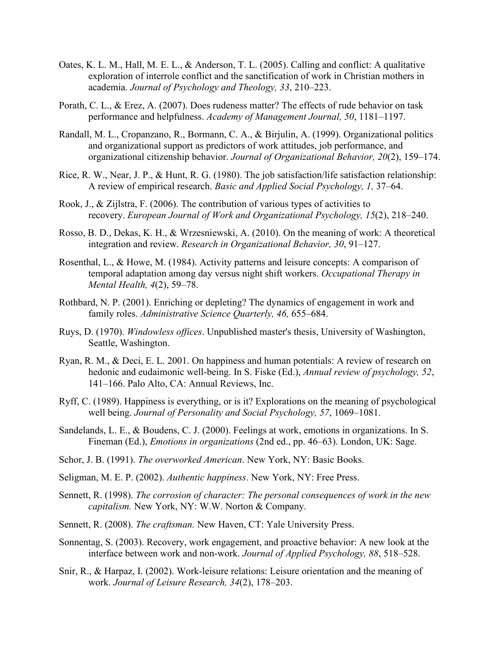- Oates, K. L. M., Hall, M. E. L., & Anderson, T. L. (2005). Calling and conflict: A qualitative exploration of interrole conflict and the sanctification of work in Christian mothers in academia. *Journal of Psychology and Theology, 33*, 210–223.
- Porath, C. L., & Erez, A. (2007). Does rudeness matter? The effects of rude behavior on task performance and helpfulness. *Academy of Management Journal, 50*, 1181–1197.
- Randall, M. L., Cropanzano, R., Bormann, C. A., & Birjulin, A. (1999). Organizational politics and organizational support as predictors of work attitudes, job performance, and organizational citizenship behavior. *Journal of Organizational Behavior, 20*(2), 159–174.
- Rice, R. W., Near, J. P., & Hunt, R. G. (1980). The job satisfaction/life satisfaction relationship: A review of empirical research. *Basic and Applied Social Psychology, 1,* 37–64.
- Rook, J., & Zijlstra, F. (2006). The contribution of various types of activities to recovery. *European Journal of Work and Organizational Psychology, 15*(2), 218–240.
- Rosso, B. D., Dekas, K. H., & Wrzesniewski, A. (2010). On the meaning of work: A theoretical integration and review. *Research in Organizational Behavior, 30*, 91–127.
- Rosenthal, L., & Howe, M. (1984). Activity patterns and leisure concepts: A comparison of temporal adaptation among day versus night shift workers. *Occupational Therapy in Mental Health, 4*(2), 59–78.
- Rothbard, N. P. (2001). Enriching or depleting? The dynamics of engagement in work and family roles. *Administrative Science Quarterly, 46,* 655–684.
- Ruys, D. (1970). *Windowless offices*. Unpublished master's thesis, University of Washington, Seattle, Washington.
- Ryan, R. M., & Deci, E. L. 2001. On happiness and human potentials: A review of research on hedonic and eudaimonic well-being. In S. Fiske (Ed.), *Annual review of psychology, 52*, 141–166. Palo Alto, CA: Annual Reviews, Inc.
- Ryff, C. (1989). Happiness is everything, or is it? Explorations on the meaning of psychological well being. *Journal of Personality and Social Psychology, 57*, 1069–1081.
- Sandelands, L. E., & Boudens, C. J. (2000). Feelings at work, emotions in organizations. In S. Fineman (Ed.), *Emotions in organizations* (2nd ed., pp. 46–63). London, UK: Sage.
- Schor, J. B. (1991). *The overworked American*. New York, NY: Basic Books.
- Seligman, M. E. P. (2002). *Authentic happiness*. New York, NY: Free Press.
- Sennett, R. (1998). *The corrosion of character: The personal consequences of work in the new capitalism.* New York, NY: W.W. Norton & Company.
- Sennett, R. (2008). *The craftsman.* New Haven, CT: Yale University Press.
- Sonnentag, S. (2003). Recovery, work engagement, and proactive behavior: A new look at the interface between work and non-work. *Journal of Applied Psychology, 88*, 518–528.
- Snir, R., & Harpaz, I. (2002). Work-leisure relations: Leisure orientation and the meaning of work. *Journal of Leisure Research, 34*(2), 178–203.